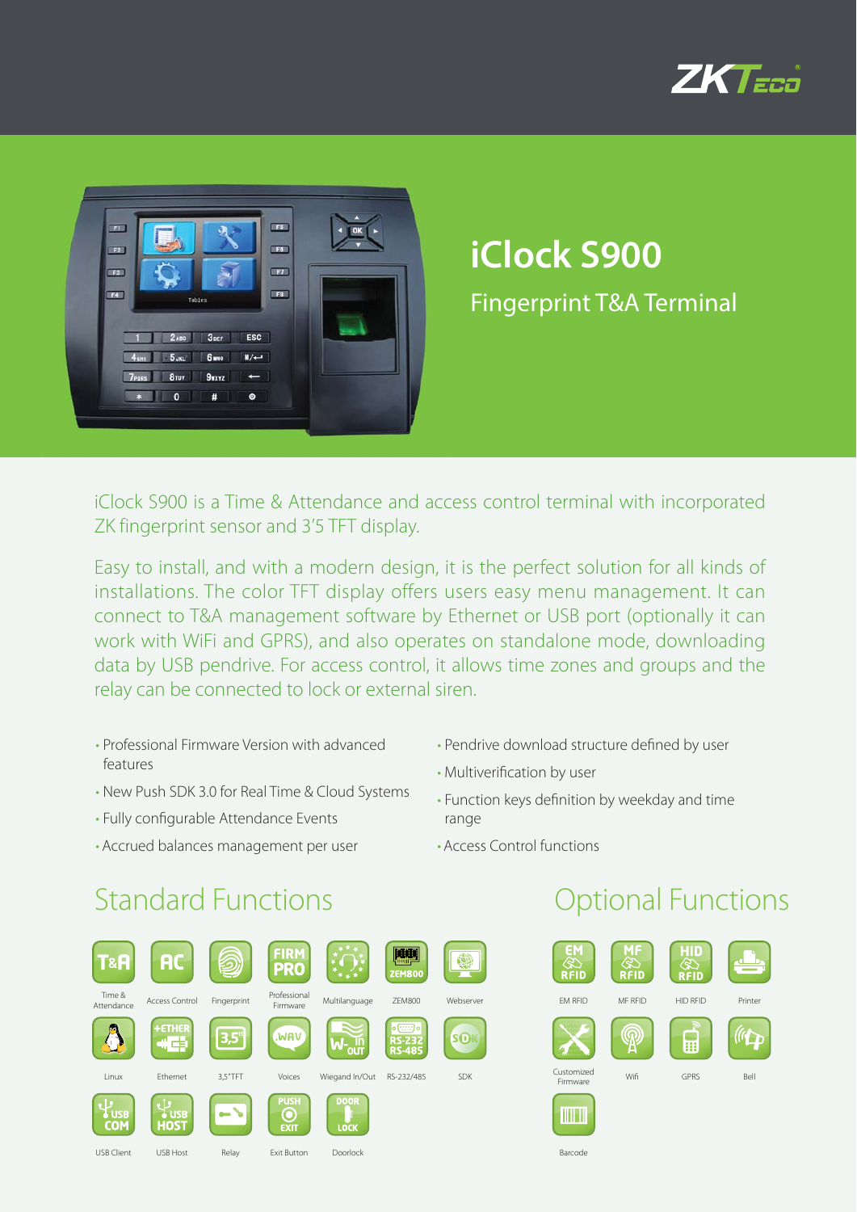



# **iClock S900** Fingerprint T&A Terminal

iClock S900 is a Time & Attendance and access control terminal with incorporated ZK fingerprint sensor and 3'5 TFT display.

Easy to install, and with a modern design, it is the perfect solution for all kinds of installations. The color TFT display offers users easy menu management. It can connect to T&A management software by Ethernet or USB port (optionally it can work with WiFi and GPRS), and also operates on standalone mode, downloading data by USB pendrive. For access control, it allows time zones and groups and the relay can be connected to lock or external siren.

- Professional Firmware Version with advanced features
- New Push SDK 3.0 for Real Time & Cloud Systems
- Fully configurable Attendance Events
- Accrued balances management per user
- Pendrive download structure defined by user
- Multiverification by user
- Function keys definition by weekday and time range

Barcode

• Access Control functions

## **Standard Functions Contract Contract Contract Contract Contract Contract Contract Contract Contract Contract Contract Contract Contract Contract Contract Contract Contract Contract Contract Contract Contract Contract Cont**

| Г&А                      | <b>AC</b>                            |             | <b>FIRM</b><br><b>PRO</b>  |                     | <b>ZEM800</b>                                    |            |
|--------------------------|--------------------------------------|-------------|----------------------------|---------------------|--------------------------------------------------|------------|
| Time &<br>Attendance     | <b>Access Control</b>                | Fingerprint | Professional<br>Firmware   | Multilanguage       | <b>ZEM800</b>                                    | Webserver  |
|                          | +ETHER<br>$\mathcal{L} \Rrightarrow$ | 3,5"        | .WAV                       |                     | $o$ (ssss) $o$<br><b>RS-232</b><br><b>RS-485</b> | <b>SO</b>  |
| Linux                    | Ethernet                             | 3.5"TFT     | Voices                     | Wiegand In/Out      | RS-232/485                                       | <b>SDK</b> |
| <b>USB</b><br><b>COM</b> | <b>USB</b><br><b>HOST</b>            |             | <b>PUSH</b><br><b>EXIT</b> | <b>DOOR</b><br>LOCK |                                                  |            |
| <b>USB Client</b>        | <b>USB Host</b>                      | Relay       | <b>Exit Button</b>         | Doorlock            |                                                  |            |